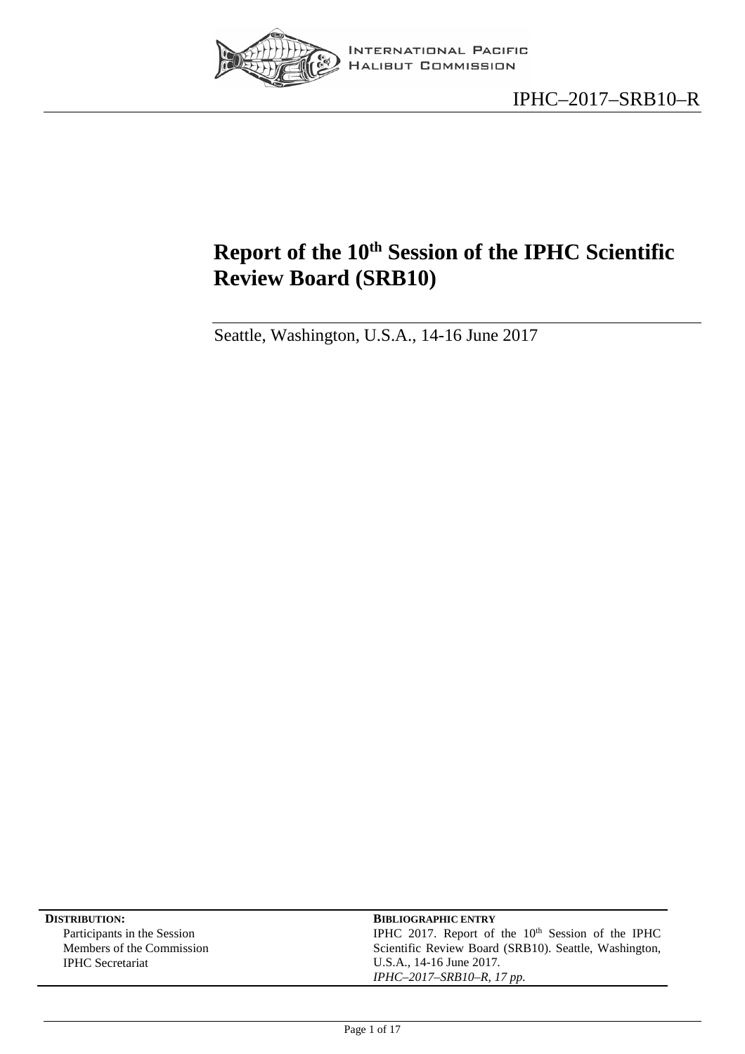

# <span id="page-0-0"></span>**Report of the 10th Session of the IPHC Scientific Review Board (SRB10)**

Seattle, Washington, U.S.A., 14-16 June 2017

| <b>DISTRIBUTION:</b>        | <b>BIBLIOGRAPHIC ENTRY</b>                            |
|-----------------------------|-------------------------------------------------------|
| Participants in the Session | IPHC 2017. Report of the $10th$ Session of the IPHC   |
| Members of the Commission   | Scientific Review Board (SRB10). Seattle, Washington, |
| <b>IPHC</b> Secretariat     | U.S.A., 14-16 June 2017.                              |
|                             | $IPHC-2017-SRB10-R, 17 pp.$                           |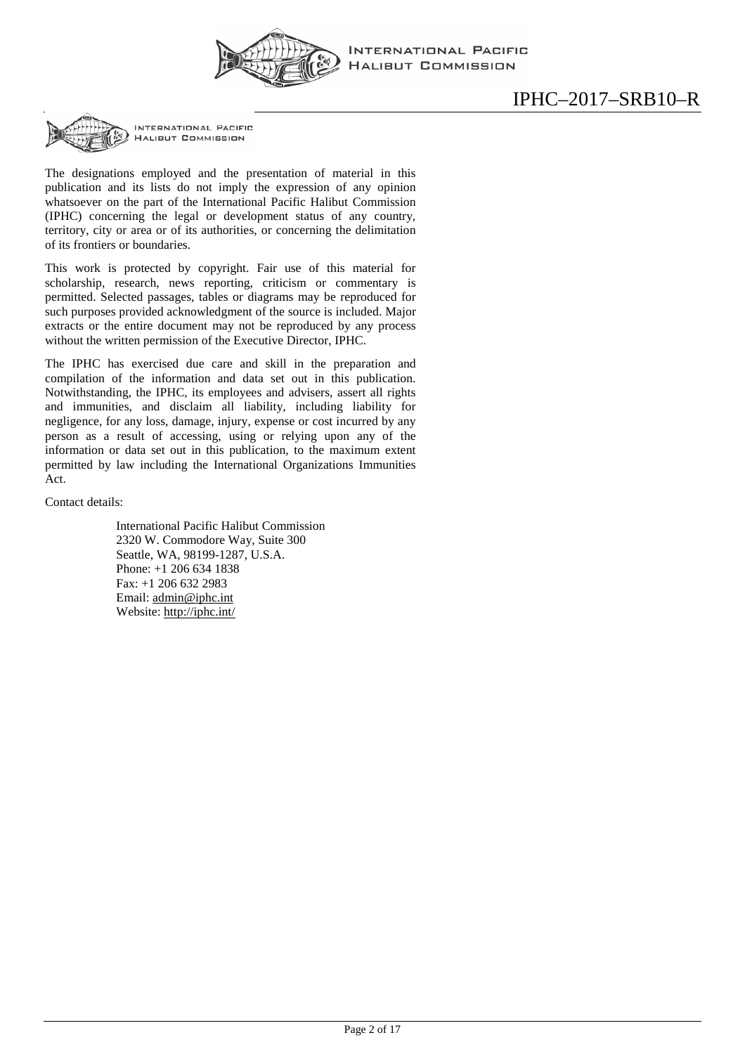

INTERNATIONAL PACIFIC **HALIBUT COMMISSION** 

INTERNATIONAL PACIFIC **HALIBUT COMMISSION** 

The designations employed and the presentation of material in this publication and its lists do not imply the expression of any opinion whatsoever on the part of the International Pacific Halibut Commission (IPHC) concerning the legal or development status of any country, territory, city or area or of its authorities, or concerning the delimitation of its frontiers or boundaries.

This work is protected by copyright. Fair use of this material for scholarship, research, news reporting, criticism or commentary is permitted. Selected passages, tables or diagrams may be reproduced for such purposes provided acknowledgment of the source is included. Major extracts or the entire document may not be reproduced by any process without the written permission of the Executive Director, IPHC.

The IPHC has exercised due care and skill in the preparation and compilation of the information and data set out in this publication. Notwithstanding, the IPHC, its employees and advisers, assert all rights and immunities, and disclaim all liability, including liability for negligence, for any loss, damage, injury, expense or cost incurred by any person as a result of accessing, using or relying upon any of the information or data set out in this publication, to the maximum extent permitted by law including the International Organizations Immunities Act.

Contact details:

International Pacific Halibut Commission 2320 W. Commodore Way, Suite 300 Seattle, WA, 98199-1287, U.S.A. Phone: +1 206 634 1838 Fax: +1 206 632 2983 Email: [admin@iphc.int](mailto:admin@iphc.int) Website:<http://iphc.int/>

# IPHC–2017–SRB10–R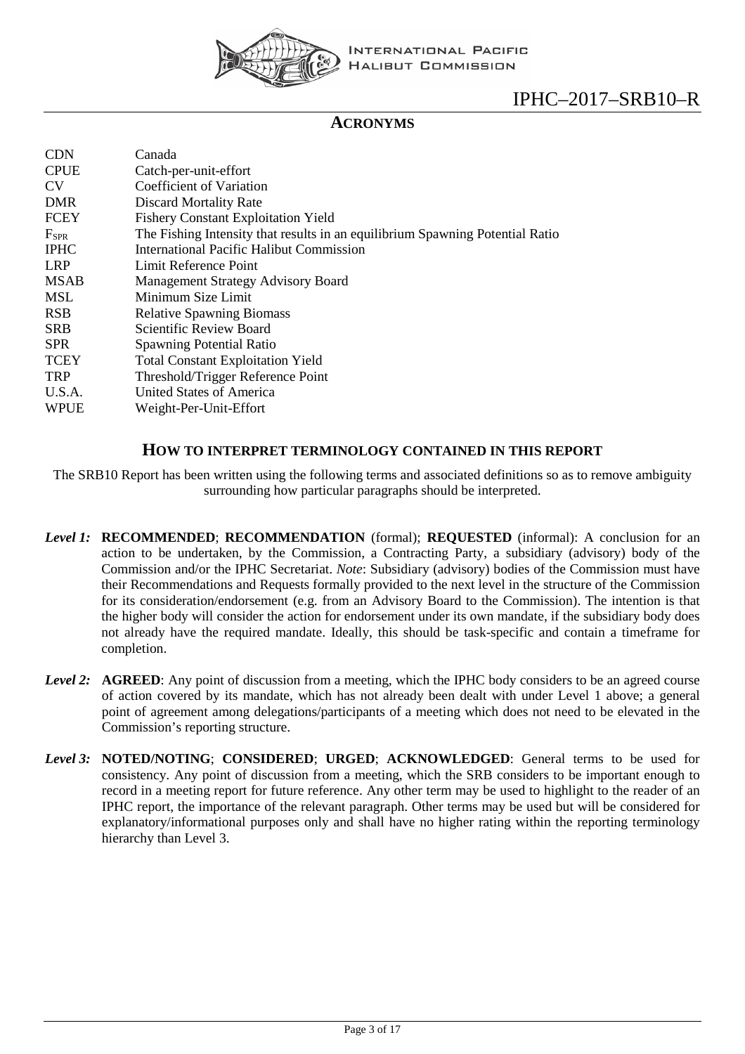

## **ACRONYMS**

| <b>CDN</b>    | Canada                                                                        |
|---------------|-------------------------------------------------------------------------------|
| <b>CPUE</b>   | Catch-per-unit-effort                                                         |
| <b>CV</b>     | Coefficient of Variation                                                      |
| <b>DMR</b>    | Discard Mortality Rate                                                        |
| FCEY          | <b>Fishery Constant Exploitation Yield</b>                                    |
| $F_{\rm SPR}$ | The Fishing Intensity that results in an equilibrium Spawning Potential Ratio |
| <b>IPHC</b>   | International Pacific Halibut Commission                                      |
| <b>LRP</b>    | Limit Reference Point                                                         |
| <b>MSAB</b>   | <b>Management Strategy Advisory Board</b>                                     |
| MSL           | Minimum Size Limit                                                            |
| <b>RSB</b>    | <b>Relative Spawning Biomass</b>                                              |
| <b>SRB</b>    | Scientific Review Board                                                       |
| <b>SPR</b>    | <b>Spawning Potential Ratio</b>                                               |
| <b>TCEY</b>   | <b>Total Constant Exploitation Yield</b>                                      |
| <b>TRP</b>    | Threshold/Trigger Reference Point                                             |
| U.S.A.        | United States of America                                                      |
| <b>WPUE</b>   | Weight-Per-Unit-Effort                                                        |
|               |                                                                               |

#### **HOW TO INTERPRET TERMINOLOGY CONTAINED IN THIS REPORT**

The SRB10 Report has been written using the following terms and associated definitions so as to remove ambiguity surrounding how particular paragraphs should be interpreted.

- *Level 1:* **RECOMMENDED**; **RECOMMENDATION** (formal); **REQUESTED** (informal): A conclusion for an action to be undertaken, by the Commission, a Contracting Party, a subsidiary (advisory) body of the Commission and/or the IPHC Secretariat. *Note*: Subsidiary (advisory) bodies of the Commission must have their Recommendations and Requests formally provided to the next level in the structure of the Commission for its consideration/endorsement (e.g. from an Advisory Board to the Commission). The intention is that the higher body will consider the action for endorsement under its own mandate, if the subsidiary body does not already have the required mandate. Ideally, this should be task-specific and contain a timeframe for completion.
- *Level 2:* **AGREED**: Any point of discussion from a meeting, which the IPHC body considers to be an agreed course of action covered by its mandate, which has not already been dealt with under Level 1 above; a general point of agreement among delegations/participants of a meeting which does not need to be elevated in the Commission's reporting structure.
- *Level 3:* **NOTED/NOTING**; **CONSIDERED**; **URGED**; **ACKNOWLEDGED**: General terms to be used for consistency. Any point of discussion from a meeting, which the SRB considers to be important enough to record in a meeting report for future reference. Any other term may be used to highlight to the reader of an IPHC report, the importance of the relevant paragraph. Other terms may be used but will be considered for explanatory/informational purposes only and shall have no higher rating within the reporting terminology hierarchy than Level 3.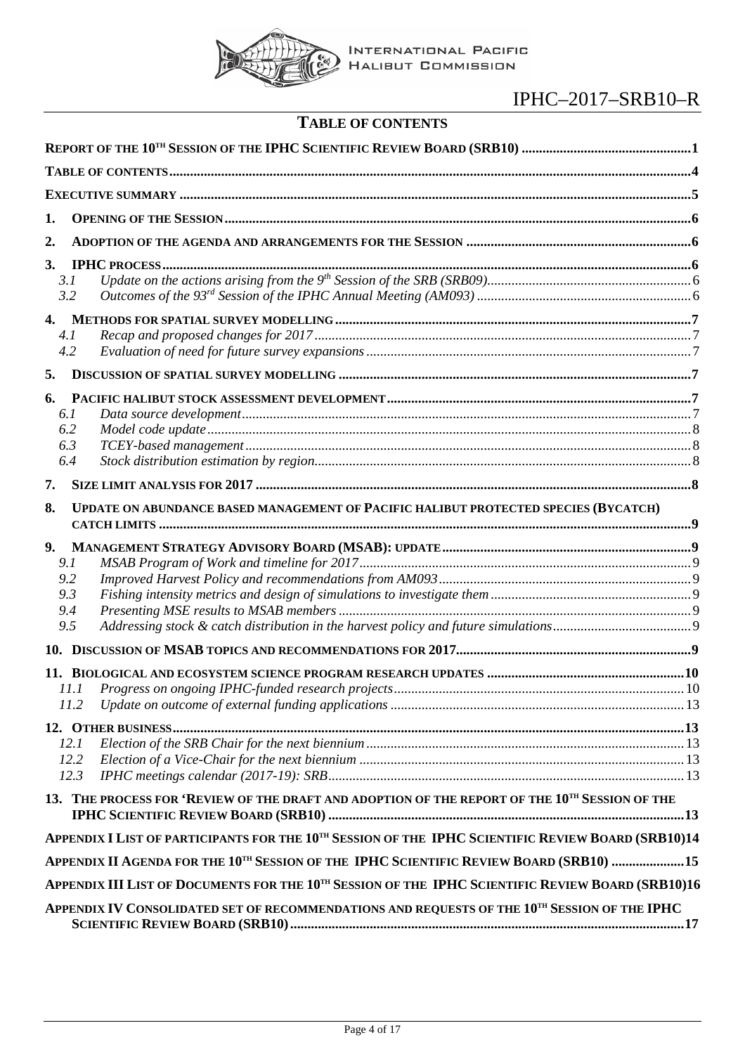

| <b>TABLE OF CONTENTS</b> |  |
|--------------------------|--|
|--------------------------|--|

<span id="page-3-0"></span>

| 1.                                                                                                             |  |
|----------------------------------------------------------------------------------------------------------------|--|
| $\overline{2}$ .                                                                                               |  |
| 3.                                                                                                             |  |
| 3.1                                                                                                            |  |
| 3.2                                                                                                            |  |
| 4.                                                                                                             |  |
| 4.1                                                                                                            |  |
| 4.2                                                                                                            |  |
| 5.                                                                                                             |  |
| 6.                                                                                                             |  |
| 6.1                                                                                                            |  |
| 6.2                                                                                                            |  |
| 6.3                                                                                                            |  |
| 6.4                                                                                                            |  |
| 7.                                                                                                             |  |
| UPDATE ON ABUNDANCE BASED MANAGEMENT OF PACIFIC HALIBUT PROTECTED SPECIES (BYCATCH)<br>8.                      |  |
| 9.                                                                                                             |  |
| 9.1                                                                                                            |  |
| 9.2                                                                                                            |  |
| 9.3                                                                                                            |  |
| 9.4<br>9.5                                                                                                     |  |
|                                                                                                                |  |
|                                                                                                                |  |
| 11.                                                                                                            |  |
| 11.1<br>11.2                                                                                                   |  |
|                                                                                                                |  |
|                                                                                                                |  |
| 12.1                                                                                                           |  |
| 12.2<br>12.3                                                                                                   |  |
|                                                                                                                |  |
| 13. THE PROCESS FOR 'REVIEW OF THE DRAFT AND ADOPTION OF THE REPORT OF THE 10TH SESSION OF THE                 |  |
| APPENDIX I LIST OF PARTICIPANTS FOR THE 10 <sup>TH</sup> SESSION OF THE IPHC SCIENTIFIC REVIEW BOARD (SRB10)14 |  |
| APPENDIX II AGENDA FOR THE 10TH SESSION OF THE IPHC SCIENTIFIC REVIEW BOARD (SRB10) 15                         |  |
| APPENDIX III LIST OF DOCUMENTS FOR THE 10 <sup>TH</sup> SESSION OF THE IPHC SCIENTIFIC REVIEW BOARD (SRB10)16  |  |
| APPENDIX IV CONSOLIDATED SET OF RECOMMENDATIONS AND REQUESTS OF THE 10 <sup>TH</sup> SESSION OF THE IPHC       |  |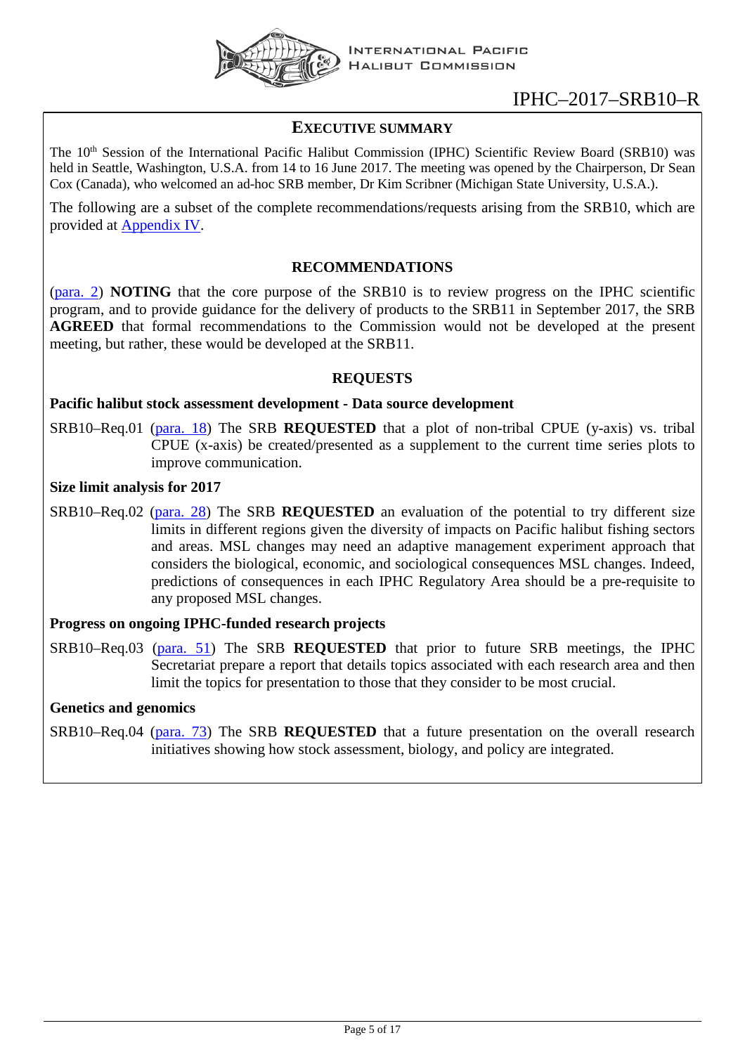

## <span id="page-4-0"></span>**EXECUTIVE SUMMARY**

The 10<sup>th</sup> Session of the International Pacific Halibut Commission (IPHC) Scientific Review Board (SRB10) was held in Seattle, Washington, U.S.A. from 14 to 16 June 2017. The meeting was opened by the Chairperson, Dr Sean Cox (Canada), who welcomed an ad-hoc SRB member, Dr Kim Scribner (Michigan State University, U.S.A.).

The following are a subset of the complete recommendations/requests arising from the SRB10, which are provided at [Appendix IV.](#page-16-0)

## **RECOMMENDATIONS**

[\(para. 2\)](#page-5-5) **NOTING** that the core purpose of the SRB10 is to review progress on the IPHC scientific program, and to provide guidance for the delivery of products to the SRB11 in September 2017, the SRB **AGREED** that formal recommendations to the Commission would not be developed at the present meeting, but rather, these would be developed at the SRB11.

## **REQUESTS**

## **Pacific halibut stock assessment development - Data source development**

SRB10–Req.01 [\(para. 18\)](#page-7-4) The SRB **REQUESTED** that a plot of non-tribal CPUE (y-axis) vs. tribal CPUE (x-axis) be created/presented as a supplement to the current time series plots to improve communication.

#### **Size limit analysis for 2017**

SRB10–Req.02 [\(para. 28\)](#page-7-5) The SRB **REQUESTED** an evaluation of the potential to try different size limits in different regions given the diversity of impacts on Pacific halibut fishing sectors and areas. MSL changes may need an adaptive management experiment approach that considers the biological, economic, and sociological consequences MSL changes. Indeed, predictions of consequences in each IPHC Regulatory Area should be a pre-requisite to any proposed MSL changes.

## **Progress on ongoing IPHC-funded research projects**

SRB10–Req.03 [\(para. 51\)](#page-10-0) The SRB **REQUESTED** that prior to future SRB meetings, the IPHC Secretariat prepare a report that details topics associated with each research area and then limit the topics for presentation to those that they consider to be most crucial.

## **Genetics and genomics**

SRB10–Req.04 [\(para. 73\)](#page-12-6) The SRB **REQUESTED** that a future presentation on the overall research initiatives showing how stock assessment, biology, and policy are integrated.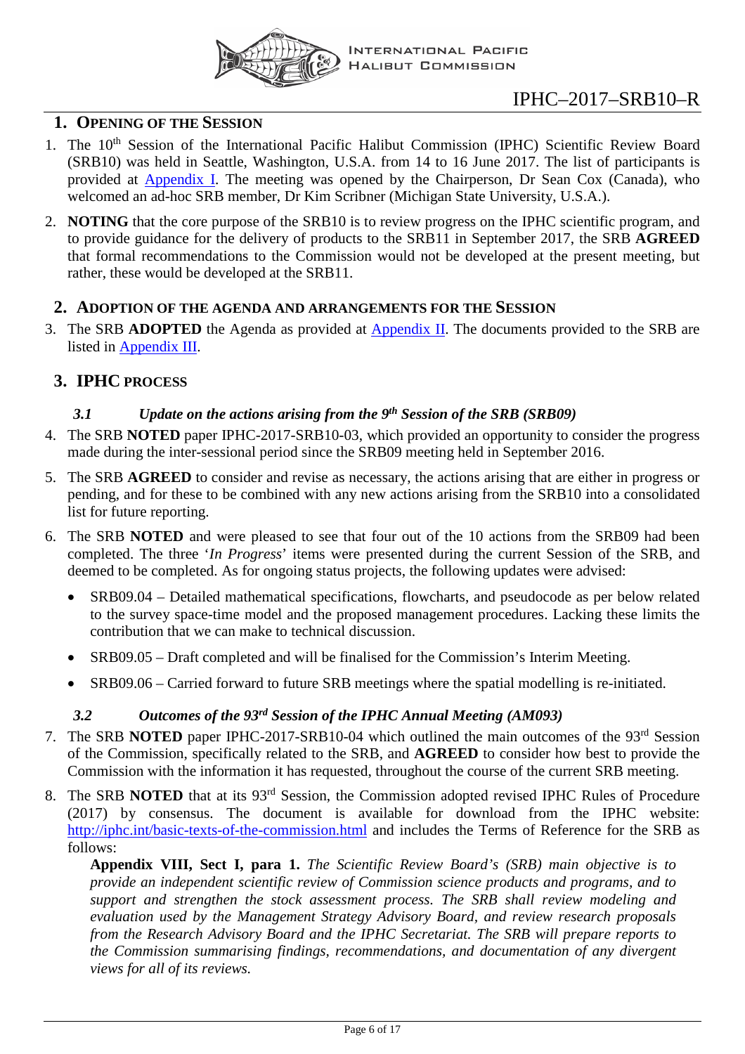

## <span id="page-5-0"></span>**1. OPENING OF THE SESSION**

- 1. The 10<sup>th</sup> Session of the International Pacific Halibut Commission (IPHC) Scientific Review Board (SRB10) was held in Seattle, Washington, U.S.A. from 14 to 16 June 2017. The list of participants is provided at [Appendix I.](#page-13-0) The meeting was opened by the Chairperson, Dr Sean Cox (Canada), who welcomed an ad-hoc SRB member, Dr Kim Scribner (Michigan State University, U.S.A.).
- <span id="page-5-5"></span>2. **NOTING** that the core purpose of the SRB10 is to review progress on the IPHC scientific program, and to provide guidance for the delivery of products to the SRB11 in September 2017, the SRB **AGREED** that formal recommendations to the Commission would not be developed at the present meeting, but rather, these would be developed at the SRB11.

## <span id="page-5-1"></span>**2. ADOPTION OF THE AGENDA AND ARRANGEMENTS FOR THE SESSION**

3. The SRB **ADOPTED** the Agenda as provided at [Appendix II.](#page-14-0) The documents provided to the SRB are listed in [Appendix III.](#page-14-1)

## <span id="page-5-3"></span><span id="page-5-2"></span>**3. IPHC PROCESS**

## *3.1 Update on the actions arising from the 9th Session of the SRB (SRB09)*

- 4. The SRB **NOTED** paper IPHC-2017-SRB10-03, which provided an opportunity to consider the progress made during the inter-sessional period since the SRB09 meeting held in September 2016.
- 5. The SRB **AGREED** to consider and revise as necessary, the actions arising that are either in progress or pending, and for these to be combined with any new actions arising from the SRB10 into a consolidated list for future reporting.
- 6. The SRB **NOTED** and were pleased to see that four out of the 10 actions from the SRB09 had been completed. The three '*In Progress*' items were presented during the current Session of the SRB, and deemed to be completed. As for ongoing status projects, the following updates were advised:
	- SRB09.04 Detailed mathematical specifications, flowcharts, and pseudocode as per below related to the survey space-time model and the proposed management procedures. Lacking these limits the contribution that we can make to technical discussion.
	- SRB09.05 Draft completed and will be finalised for the Commission's Interim Meeting.
	- SRB09.06 Carried forward to future SRB meetings where the spatial modelling is re-initiated.

## *3.2 Outcomes of the 93rd Session of the IPHC Annual Meeting (AM093)*

- <span id="page-5-4"></span>7. The SRB **NOTED** paper IPHC-2017-SRB10-04 which outlined the main outcomes of the 93<sup>rd</sup> Session of the Commission, specifically related to the SRB, and **AGREED** to consider how best to provide the Commission with the information it has requested, throughout the course of the current SRB meeting.
- 8. The SRB **NOTED** that at its 93rd Session, the Commission adopted revised IPHC Rules of Procedure (2017) by consensus. The document is available for download from the IPHC website: <http://iphc.int/basic-texts-of-the-commission.html> and includes the Terms of Reference for the SRB as follows:

**Appendix VIII, Sect I, para 1.** *The Scientific Review Board's (SRB) main objective is to provide an independent scientific review of Commission science products and programs, and to support and strengthen the stock assessment process. The SRB shall review modeling and evaluation used by the Management Strategy Advisory Board, and review research proposals from the Research Advisory Board and the IPHC Secretariat. The SRB will prepare reports to the Commission summarising findings, recommendations, and documentation of any divergent views for all of its reviews.*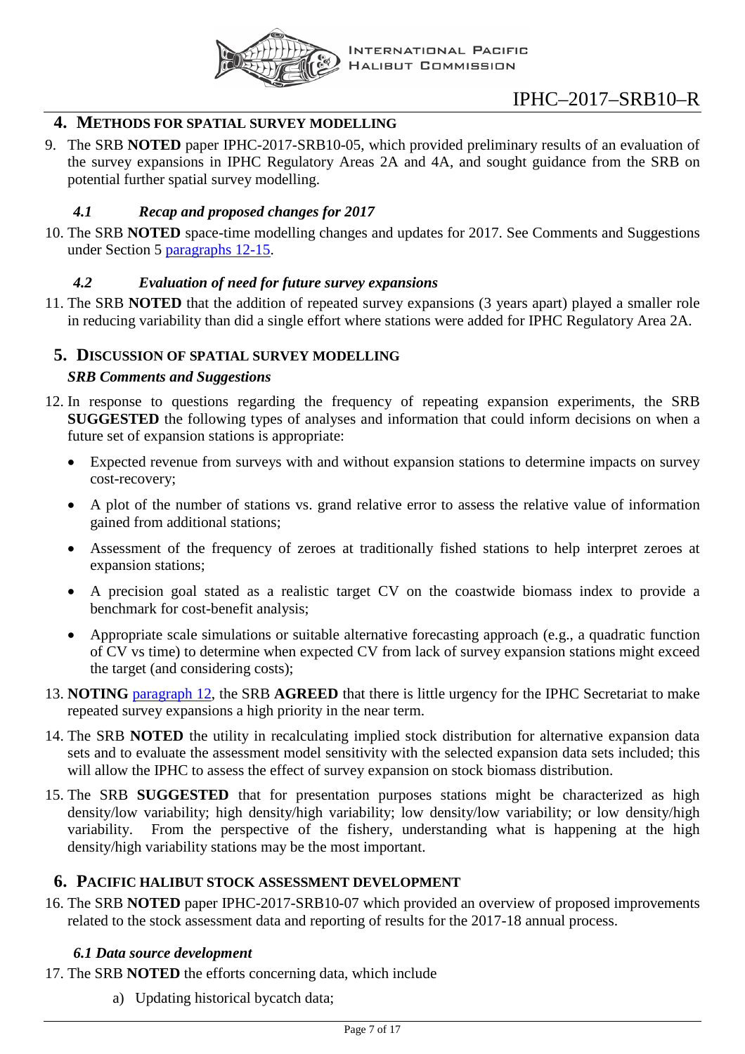

## <span id="page-6-0"></span>**4. METHODS FOR SPATIAL SURVEY MODELLING**

9. The SRB **NOTED** paper IPHC-2017-SRB10-05, which provided preliminary results of an evaluation of the survey expansions in IPHC Regulatory Areas 2A and 4A, and sought guidance from the SRB on potential further spatial survey modelling.

## *4.1 Recap and proposed changes for 2017*

<span id="page-6-1"></span>10. The SRB **NOTED** space-time modelling changes and updates for 2017. See Comments and Suggestions under Section 5 [paragraphs 12-15.](#page-6-6)

## *4.2 Evaluation of need for future survey expansions*

<span id="page-6-2"></span>11. The SRB **NOTED** that the addition of repeated survey expansions (3 years apart) played a smaller role in reducing variability than did a single effort where stations were added for IPHC Regulatory Area 2A.

## <span id="page-6-3"></span>**5. DISCUSSION OF SPATIAL SURVEY MODELLING**

## *SRB Comments and Suggestions*

- <span id="page-6-6"></span>12. In response to questions regarding the frequency of repeating expansion experiments, the SRB **SUGGESTED** the following types of analyses and information that could inform decisions on when a future set of expansion stations is appropriate:
	- Expected revenue from surveys with and without expansion stations to determine impacts on survey cost-recovery;
	- A plot of the number of stations vs. grand relative error to assess the relative value of information gained from additional stations;
	- Assessment of the frequency of zeroes at traditionally fished stations to help interpret zeroes at expansion stations;
	- A precision goal stated as a realistic target CV on the coastwide biomass index to provide a benchmark for cost-benefit analysis;
	- Appropriate scale simulations or suitable alternative forecasting approach (e.g., a quadratic function of CV vs time) to determine when expected CV from lack of survey expansion stations might exceed the target (and considering costs);
- 13. **NOTING** [paragraph](#page-6-6) 12, the SRB **AGREED** that there is little urgency for the IPHC Secretariat to make repeated survey expansions a high priority in the near term.
- 14. The SRB **NOTED** the utility in recalculating implied stock distribution for alternative expansion data sets and to evaluate the assessment model sensitivity with the selected expansion data sets included; this will allow the IPHC to assess the effect of survey expansion on stock biomass distribution.
- 15. The SRB **SUGGESTED** that for presentation purposes stations might be characterized as high density/low variability; high density/high variability; low density/low variability; or low density/high variability. From the perspective of the fishery, understanding what is happening at the high density/high variability stations may be the most important.

## <span id="page-6-4"></span>**6. PACIFIC HALIBUT STOCK ASSESSMENT DEVELOPMENT**

16. The SRB **NOTED** paper IPHC-2017-SRB10-07 which provided an overview of proposed improvements related to the stock assessment data and reporting of results for the 2017-18 annual process.

## *6.1 Data source development*

- <span id="page-6-5"></span>17. The SRB **NOTED** the efforts concerning data, which include
	- a) Updating historical bycatch data;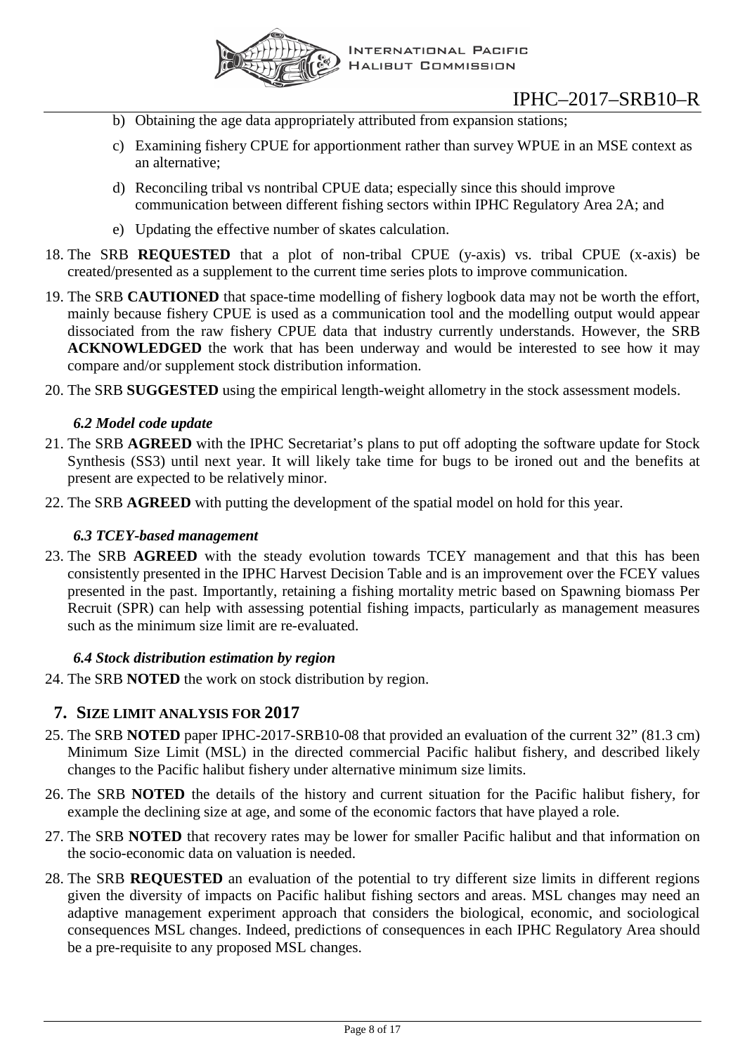

- b) Obtaining the age data appropriately attributed from expansion stations;
- c) Examining fishery CPUE for apportionment rather than survey WPUE in an MSE context as an alternative;
- d) Reconciling tribal vs nontribal CPUE data; especially since this should improve communication between different fishing sectors within IPHC Regulatory Area 2A; and
- e) Updating the effective number of skates calculation.
- <span id="page-7-4"></span>18. The SRB **REQUESTED** that a plot of non-tribal CPUE (y-axis) vs. tribal CPUE (x-axis) be created/presented as a supplement to the current time series plots to improve communication.
- 19. The SRB **CAUTIONED** that space-time modelling of fishery logbook data may not be worth the effort, mainly because fishery CPUE is used as a communication tool and the modelling output would appear dissociated from the raw fishery CPUE data that industry currently understands. However, the SRB **ACKNOWLEDGED** the work that has been underway and would be interested to see how it may compare and/or supplement stock distribution information.
- <span id="page-7-0"></span>20. The SRB **SUGGESTED** using the empirical length-weight allometry in the stock assessment models.

## *6.2 Model code update*

- 21. The SRB **AGREED** with the IPHC Secretariat's plans to put off adopting the software update for Stock Synthesis (SS3) until next year. It will likely take time for bugs to be ironed out and the benefits at present are expected to be relatively minor.
- <span id="page-7-1"></span>22. The SRB **AGREED** with putting the development of the spatial model on hold for this year.

## *6.3 TCEY-based management*

23. The SRB **AGREED** with the steady evolution towards TCEY management and that this has been consistently presented in the IPHC Harvest Decision Table and is an improvement over the FCEY values presented in the past. Importantly, retaining a fishing mortality metric based on Spawning biomass Per Recruit (SPR) can help with assessing potential fishing impacts, particularly as management measures such as the minimum size limit are re-evaluated.

## *6.4 Stock distribution estimation by region*

<span id="page-7-2"></span>24. The SRB **NOTED** the work on stock distribution by region.

## <span id="page-7-3"></span>**7. SIZE LIMIT ANALYSIS FOR 2017**

- 25. The SRB **NOTED** paper IPHC-2017-SRB10-08 that provided an evaluation of the current 32" (81.3 cm) Minimum Size Limit (MSL) in the directed commercial Pacific halibut fishery, and described likely changes to the Pacific halibut fishery under alternative minimum size limits.
- 26. The SRB **NOTED** the details of the history and current situation for the Pacific halibut fishery, for example the declining size at age, and some of the economic factors that have played a role.
- 27. The SRB **NOTED** that recovery rates may be lower for smaller Pacific halibut and that information on the socio-economic data on valuation is needed.
- <span id="page-7-5"></span>28. The SRB **REQUESTED** an evaluation of the potential to try different size limits in different regions given the diversity of impacts on Pacific halibut fishing sectors and areas. MSL changes may need an adaptive management experiment approach that considers the biological, economic, and sociological consequences MSL changes. Indeed, predictions of consequences in each IPHC Regulatory Area should be a pre-requisite to any proposed MSL changes.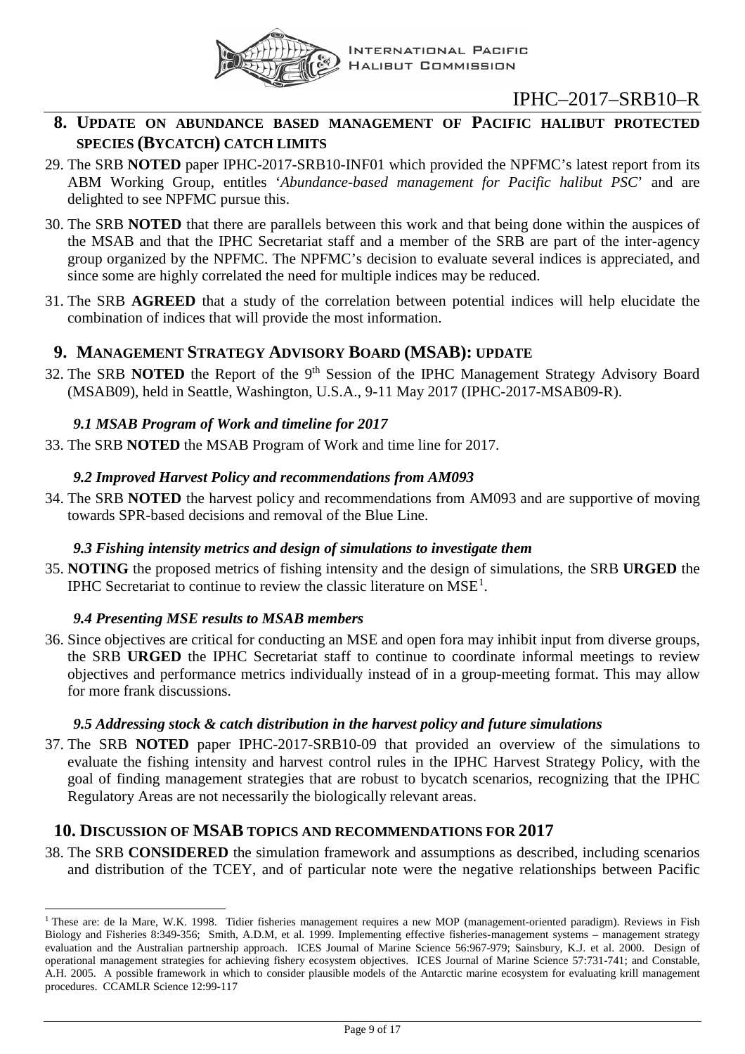

## <span id="page-8-0"></span>**8. UPDATE ON ABUNDANCE BASED MANAGEMENT OF PACIFIC HALIBUT PROTECTED SPECIES (BYCATCH) CATCH LIMITS**

- 29. The SRB **NOTED** paper IPHC-2017-SRB10-INF01 which provided the NPFMC's latest report from its ABM Working Group, entitles '*Abundance-based management for Pacific halibut PSC*' and are delighted to see NPFMC pursue this.
- 30. The SRB **NOTED** that there are parallels between this work and that being done within the auspices of the MSAB and that the IPHC Secretariat staff and a member of the SRB are part of the inter-agency group organized by the NPFMC. The NPFMC's decision to evaluate several indices is appreciated, and since some are highly correlated the need for multiple indices may be reduced.
- 31. The SRB **AGREED** that a study of the correlation between potential indices will help elucidate the combination of indices that will provide the most information.

## <span id="page-8-1"></span>**9. MANAGEMENT STRATEGY ADVISORY BOARD (MSAB): UPDATE**

32. The SRB **NOTED** the Report of the 9<sup>th</sup> Session of the IPHC Management Strategy Advisory Board (MSAB09), held in Seattle, Washington, U.S.A., 9-11 May 2017 (IPHC-2017-MSAB09-R).

## *9.1 MSAB Program of Work and timeline for 2017*

<span id="page-8-3"></span><span id="page-8-2"></span>33. The SRB **NOTED** the MSAB Program of Work and time line for 2017.

## *9.2 Improved Harvest Policy and recommendations from AM093*

34. The SRB **NOTED** the harvest policy and recommendations from AM093 and are supportive of moving towards SPR-based decisions and removal of the Blue Line.

## *9.3 Fishing intensity metrics and design of simulations to investigate them*

<span id="page-8-4"></span>35. **NOTING** the proposed metrics of fishing intensity and the design of simulations, the SRB **URGED** the IPHC Secretariat to continue to review the classic literature on  $MSE<sup>1</sup>$  $MSE<sup>1</sup>$  $MSE<sup>1</sup>$ .

## *9.4 Presenting MSE results to MSAB members*

<span id="page-8-5"></span>36. Since objectives are critical for conducting an MSE and open fora may inhibit input from diverse groups, the SRB **URGED** the IPHC Secretariat staff to continue to coordinate informal meetings to review objectives and performance metrics individually instead of in a group-meeting format. This may allow for more frank discussions.

## *9.5 Addressing stock & catch distribution in the harvest policy and future simulations*

<span id="page-8-6"></span>37. The SRB **NOTED** paper IPHC-2017-SRB10-09 that provided an overview of the simulations to evaluate the fishing intensity and harvest control rules in the IPHC Harvest Strategy Policy, with the goal of finding management strategies that are robust to bycatch scenarios, recognizing that the IPHC Regulatory Areas are not necessarily the biologically relevant areas.

## <span id="page-8-7"></span>**10. DISCUSSION OF MSAB TOPICS AND RECOMMENDATIONS FOR 2017**

38. The SRB **CONSIDERED** the simulation framework and assumptions as described, including scenarios and distribution of the TCEY, and of particular note were the negative relationships between Pacific

<span id="page-8-8"></span><sup>&</sup>lt;sup>1</sup> These are: de la Mare, W.K. 1998. Tidier fisheries management requires a new MOP (management-oriented paradigm). Reviews in Fish Biology and Fisheries 8:349-356; Smith, A.D.M, et al. 1999. Implementing effective fisheries-management systems – management strategy evaluation and the Australian partnership approach. ICES Journal of Marine Science 56:967-979; Sainsbury, K.J. et al. 2000. Design of operational management strategies for achieving fishery ecosystem objectives. ICES Journal of Marine Science 57:731-741; and Constable, A.H. 2005. A possible framework in which to consider plausible models of the Antarctic marine ecosystem for evaluating krill management procedures. CCAMLR Science 12:99-117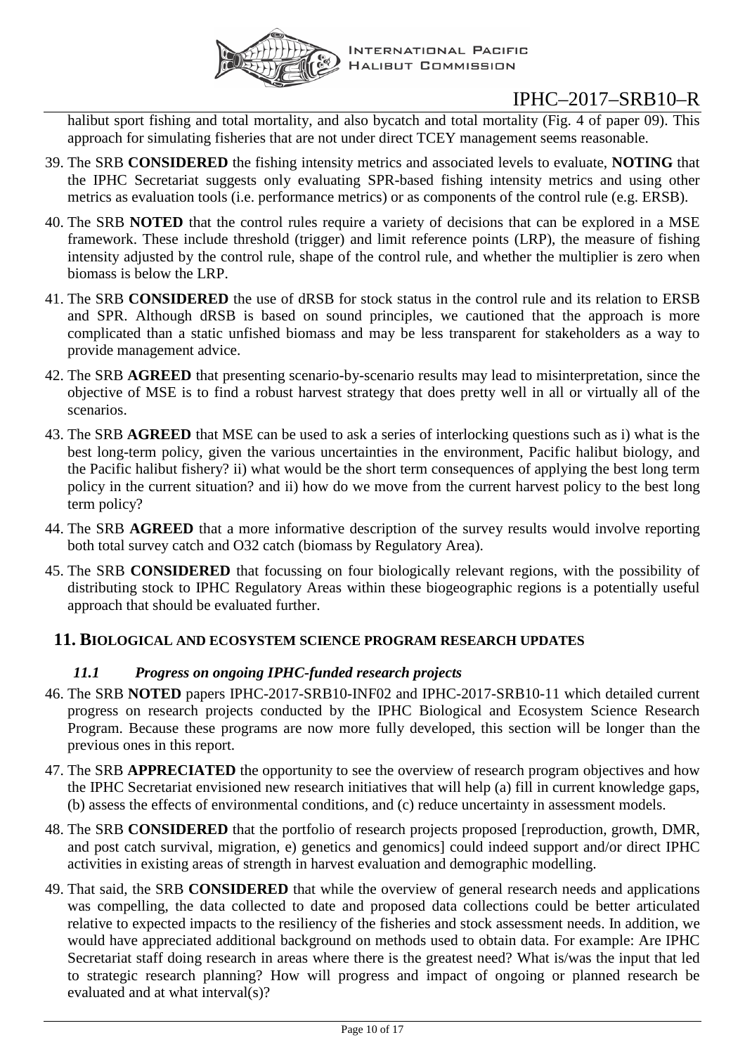

halibut sport fishing and total mortality, and also bycatch and total mortality (Fig. 4 of paper 09). This approach for simulating fisheries that are not under direct TCEY management seems reasonable.

- 39. The SRB **CONSIDERED** the fishing intensity metrics and associated levels to evaluate, **NOTING** that the IPHC Secretariat suggests only evaluating SPR-based fishing intensity metrics and using other metrics as evaluation tools (i.e. performance metrics) or as components of the control rule (e.g. ERSB).
- 40. The SRB **NOTED** that the control rules require a variety of decisions that can be explored in a MSE framework. These include threshold (trigger) and limit reference points (LRP), the measure of fishing intensity adjusted by the control rule, shape of the control rule, and whether the multiplier is zero when biomass is below the LRP.
- 41. The SRB **CONSIDERED** the use of dRSB for stock status in the control rule and its relation to ERSB and SPR. Although dRSB is based on sound principles, we cautioned that the approach is more complicated than a static unfished biomass and may be less transparent for stakeholders as a way to provide management advice.
- 42. The SRB **AGREED** that presenting scenario-by-scenario results may lead to misinterpretation, since the objective of MSE is to find a robust harvest strategy that does pretty well in all or virtually all of the scenarios.
- 43. The SRB **AGREED** that MSE can be used to ask a series of interlocking questions such as i) what is the best long-term policy, given the various uncertainties in the environment, Pacific halibut biology, and the Pacific halibut fishery? ii) what would be the short term consequences of applying the best long term policy in the current situation? and ii) how do we move from the current harvest policy to the best long term policy?
- 44. The SRB **AGREED** that a more informative description of the survey results would involve reporting both total survey catch and O32 catch (biomass by Regulatory Area).
- 45. The SRB **CONSIDERED** that focussing on four biologically relevant regions, with the possibility of distributing stock to IPHC Regulatory Areas within these biogeographic regions is a potentially useful approach that should be evaluated further.

## <span id="page-9-1"></span><span id="page-9-0"></span>**11. BIOLOGICAL AND ECOSYSTEM SCIENCE PROGRAM RESEARCH UPDATES**

## *11.1 Progress on ongoing IPHC-funded research projects*

- 46. The SRB **NOTED** papers IPHC-2017-SRB10-INF02 and IPHC-2017-SRB10-11 which detailed current progress on research projects conducted by the IPHC Biological and Ecosystem Science Research Program. Because these programs are now more fully developed, this section will be longer than the previous ones in this report.
- 47. The SRB **APPRECIATED** the opportunity to see the overview of research program objectives and how the IPHC Secretariat envisioned new research initiatives that will help (a) fill in current knowledge gaps, (b) assess the effects of environmental conditions, and (c) reduce uncertainty in assessment models.
- 48. The SRB **CONSIDERED** that the portfolio of research projects proposed [reproduction, growth, DMR, and post catch survival, migration, e) genetics and genomics] could indeed support and/or direct IPHC activities in existing areas of strength in harvest evaluation and demographic modelling.
- 49. That said, the SRB **CONSIDERED** that while the overview of general research needs and applications was compelling, the data collected to date and proposed data collections could be better articulated relative to expected impacts to the resiliency of the fisheries and stock assessment needs. In addition, we would have appreciated additional background on methods used to obtain data. For example: Are IPHC Secretariat staff doing research in areas where there is the greatest need? What is/was the input that led to strategic research planning? How will progress and impact of ongoing or planned research be evaluated and at what interval(s)?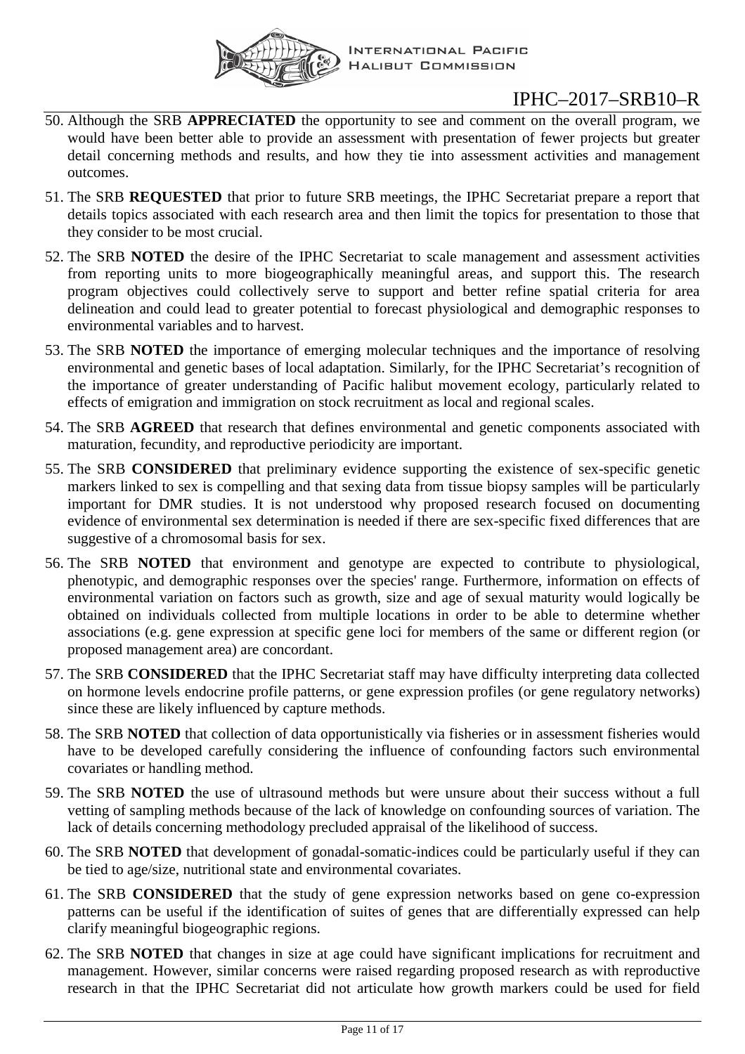

- 50. Although the SRB **APPRECIATED** the opportunity to see and comment on the overall program, we would have been better able to provide an assessment with presentation of fewer projects but greater detail concerning methods and results, and how they tie into assessment activities and management outcomes.
- <span id="page-10-0"></span>51. The SRB **REQUESTED** that prior to future SRB meetings, the IPHC Secretariat prepare a report that details topics associated with each research area and then limit the topics for presentation to those that they consider to be most crucial.
- 52. The SRB **NOTED** the desire of the IPHC Secretariat to scale management and assessment activities from reporting units to more biogeographically meaningful areas, and support this. The research program objectives could collectively serve to support and better refine spatial criteria for area delineation and could lead to greater potential to forecast physiological and demographic responses to environmental variables and to harvest.
- 53. The SRB **NOTED** the importance of emerging molecular techniques and the importance of resolving environmental and genetic bases of local adaptation. Similarly, for the IPHC Secretariat's recognition of the importance of greater understanding of Pacific halibut movement ecology, particularly related to effects of emigration and immigration on stock recruitment as local and regional scales.
- 54. The SRB **AGREED** that research that defines environmental and genetic components associated with maturation, fecundity, and reproductive periodicity are important.
- 55. The SRB **CONSIDERED** that preliminary evidence supporting the existence of sex-specific genetic markers linked to sex is compelling and that sexing data from tissue biopsy samples will be particularly important for DMR studies. It is not understood why proposed research focused on documenting evidence of environmental sex determination is needed if there are sex-specific fixed differences that are suggestive of a chromosomal basis for sex.
- 56. The SRB **NOTED** that environment and genotype are expected to contribute to physiological, phenotypic, and demographic responses over the species' range. Furthermore, information on effects of environmental variation on factors such as growth, size and age of sexual maturity would logically be obtained on individuals collected from multiple locations in order to be able to determine whether associations (e.g. gene expression at specific gene loci for members of the same or different region (or proposed management area) are concordant.
- 57. The SRB **CONSIDERED** that the IPHC Secretariat staff may have difficulty interpreting data collected on hormone levels endocrine profile patterns, or gene expression profiles (or gene regulatory networks) since these are likely influenced by capture methods.
- 58. The SRB **NOTED** that collection of data opportunistically via fisheries or in assessment fisheries would have to be developed carefully considering the influence of confounding factors such environmental covariates or handling method.
- 59. The SRB **NOTED** the use of ultrasound methods but were unsure about their success without a full vetting of sampling methods because of the lack of knowledge on confounding sources of variation. The lack of details concerning methodology precluded appraisal of the likelihood of success.
- 60. The SRB **NOTED** that development of gonadal-somatic-indices could be particularly useful if they can be tied to age/size, nutritional state and environmental covariates.
- 61. The SRB **CONSIDERED** that the study of gene expression networks based on gene co-expression patterns can be useful if the identification of suites of genes that are differentially expressed can help clarify meaningful biogeographic regions.
- 62. The SRB **NOTED** that changes in size at age could have significant implications for recruitment and management. However, similar concerns were raised regarding proposed research as with reproductive research in that the IPHC Secretariat did not articulate how growth markers could be used for field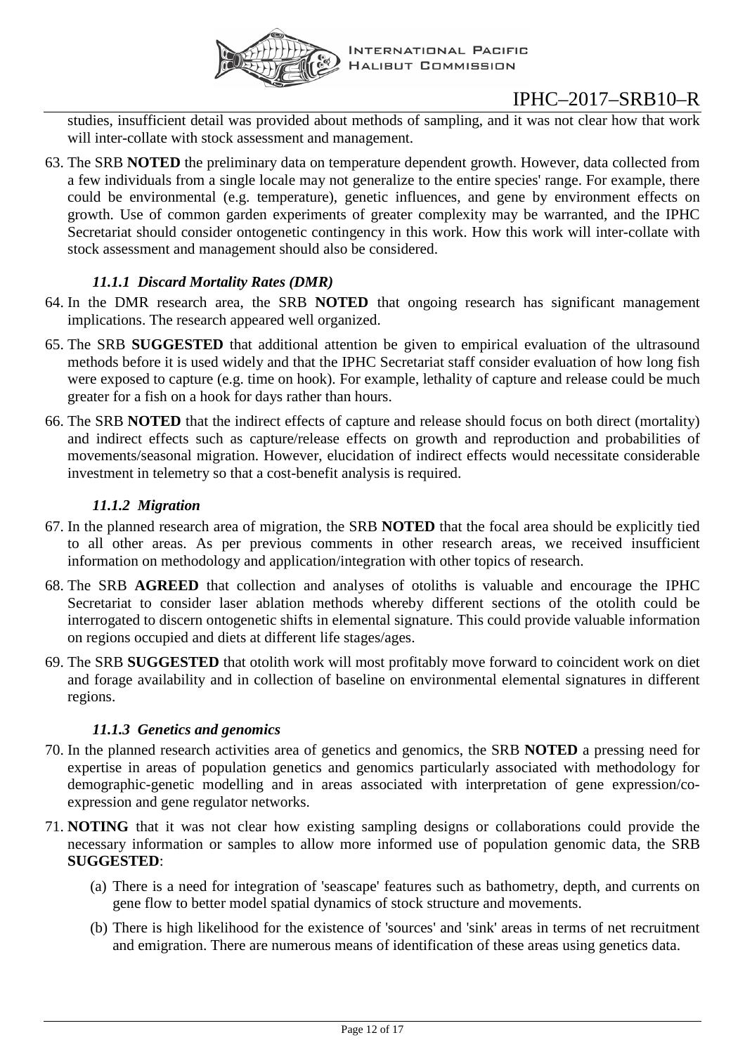

studies, insufficient detail was provided about methods of sampling, and it was not clear how that work will inter-collate with stock assessment and management.

63. The SRB **NOTED** the preliminary data on temperature dependent growth. However, data collected from a few individuals from a single locale may not generalize to the entire species' range. For example, there could be environmental (e.g. temperature), genetic influences, and gene by environment effects on growth. Use of common garden experiments of greater complexity may be warranted, and the IPHC Secretariat should consider ontogenetic contingency in this work. How this work will inter-collate with stock assessment and management should also be considered.

## *11.1.1 Discard Mortality Rates (DMR)*

- 64. In the DMR research area, the SRB **NOTED** that ongoing research has significant management implications. The research appeared well organized.
- 65. The SRB **SUGGESTED** that additional attention be given to empirical evaluation of the ultrasound methods before it is used widely and that the IPHC Secretariat staff consider evaluation of how long fish were exposed to capture (e.g. time on hook). For example, lethality of capture and release could be much greater for a fish on a hook for days rather than hours.
- 66. The SRB **NOTED** that the indirect effects of capture and release should focus on both direct (mortality) and indirect effects such as capture/release effects on growth and reproduction and probabilities of movements/seasonal migration. However, elucidation of indirect effects would necessitate considerable investment in telemetry so that a cost-benefit analysis is required.

## *11.1.2 Migration*

- 67. In the planned research area of migration, the SRB **NOTED** that the focal area should be explicitly tied to all other areas. As per previous comments in other research areas, we received insufficient information on methodology and application/integration with other topics of research.
- 68. The SRB **AGREED** that collection and analyses of otoliths is valuable and encourage the IPHC Secretariat to consider laser ablation methods whereby different sections of the otolith could be interrogated to discern ontogenetic shifts in elemental signature. This could provide valuable information on regions occupied and diets at different life stages/ages.
- 69. The SRB **SUGGESTED** that otolith work will most profitably move forward to coincident work on diet and forage availability and in collection of baseline on environmental elemental signatures in different regions.

## *11.1.3 Genetics and genomics*

- 70. In the planned research activities area of genetics and genomics, the SRB **NOTED** a pressing need for expertise in areas of population genetics and genomics particularly associated with methodology for demographic-genetic modelling and in areas associated with interpretation of gene expression/coexpression and gene regulator networks.
- 71. **NOTING** that it was not clear how existing sampling designs or collaborations could provide the necessary information or samples to allow more informed use of population genomic data, the SRB **SUGGESTED**:
	- (a) There is a need for integration of 'seascape' features such as bathometry, depth, and currents on gene flow to better model spatial dynamics of stock structure and movements.
	- (b) There is high likelihood for the existence of 'sources' and 'sink' areas in terms of net recruitment and emigration. There are numerous means of identification of these areas using genetics data.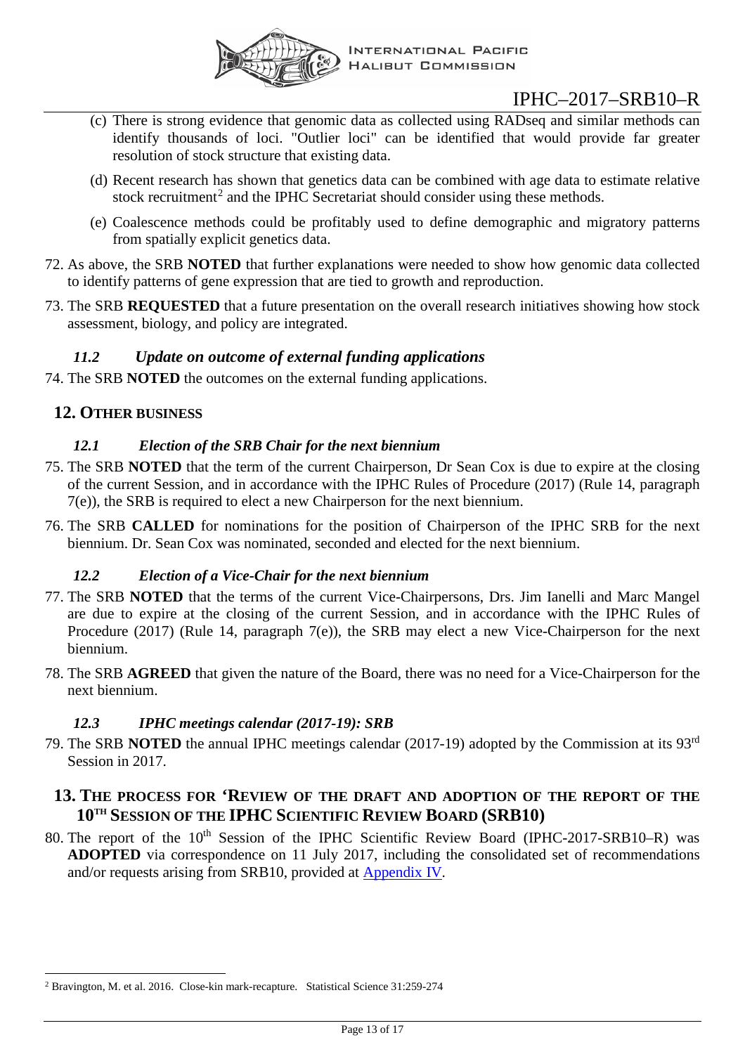

- (c) There is strong evidence that genomic data as collected using RADseq and similar methods can identify thousands of loci. "Outlier loci" can be identified that would provide far greater resolution of stock structure that existing data.
- (d) Recent research has shown that genetics data can be combined with age data to estimate relative stock recruitment<sup>[2](#page-12-7)</sup> and the IPHC Secretariat should consider using these methods.
- (e) Coalescence methods could be profitably used to define demographic and migratory patterns from spatially explicit genetics data.
- 72. As above, the SRB **NOTED** that further explanations were needed to show how genomic data collected to identify patterns of gene expression that are tied to growth and reproduction.
- <span id="page-12-6"></span>73. The SRB **REQUESTED** that a future presentation on the overall research initiatives showing how stock assessment, biology, and policy are integrated.

## <span id="page-12-0"></span>*11.2 Update on outcome of external funding applications*

74. The SRB **NOTED** the outcomes on the external funding applications.

## <span id="page-12-2"></span><span id="page-12-1"></span>**12. OTHER BUSINESS**

## *12.1 Election of the SRB Chair for the next biennium*

- 75. The SRB **NOTED** that the term of the current Chairperson, Dr Sean Cox is due to expire at the closing of the current Session, and in accordance with the IPHC Rules of Procedure (2017) (Rule 14, paragraph 7(e)), the SRB is required to elect a new Chairperson for the next biennium.
- 76. The SRB **CALLED** for nominations for the position of Chairperson of the IPHC SRB for the next biennium. Dr. Sean Cox was nominated, seconded and elected for the next biennium.

## *12.2 Election of a Vice-Chair for the next biennium*

- <span id="page-12-3"></span>77. The SRB **NOTED** that the terms of the current Vice-Chairpersons, Drs. Jim Ianelli and Marc Mangel are due to expire at the closing of the current Session, and in accordance with the IPHC Rules of Procedure (2017) (Rule 14, paragraph 7(e)), the SRB may elect a new Vice-Chairperson for the next biennium.
- 78. The SRB **AGREED** that given the nature of the Board, there was no need for a Vice-Chairperson for the next biennium.

## *12.3 IPHC meetings calendar (2017-19): SRB*

<span id="page-12-4"></span>79. The SRB **NOTED** the annual IPHC meetings calendar (2017-19) adopted by the Commission at its 93rd Session in 2017.

## <span id="page-12-5"></span>**13. THE PROCESS FOR 'REVIEW OF THE DRAFT AND ADOPTION OF THE REPORT OF THE 10TH SESSION OF THE IPHC SCIENTIFIC REVIEW BOARD (SRB10)**

80. The report of the 10<sup>th</sup> Session of the IPHC Scientific Review Board (IPHC-2017-SRB10–R) was **ADOPTED** via correspondence on 11 July 2017, including the consolidated set of recommendations and/or requests arising from SRB10, provided at [Appendix IV.](#page-16-0)

<span id="page-12-7"></span> <sup>2</sup> Bravington, M. et al. 2016. Close-kin mark-recapture. Statistical Science 31:259-274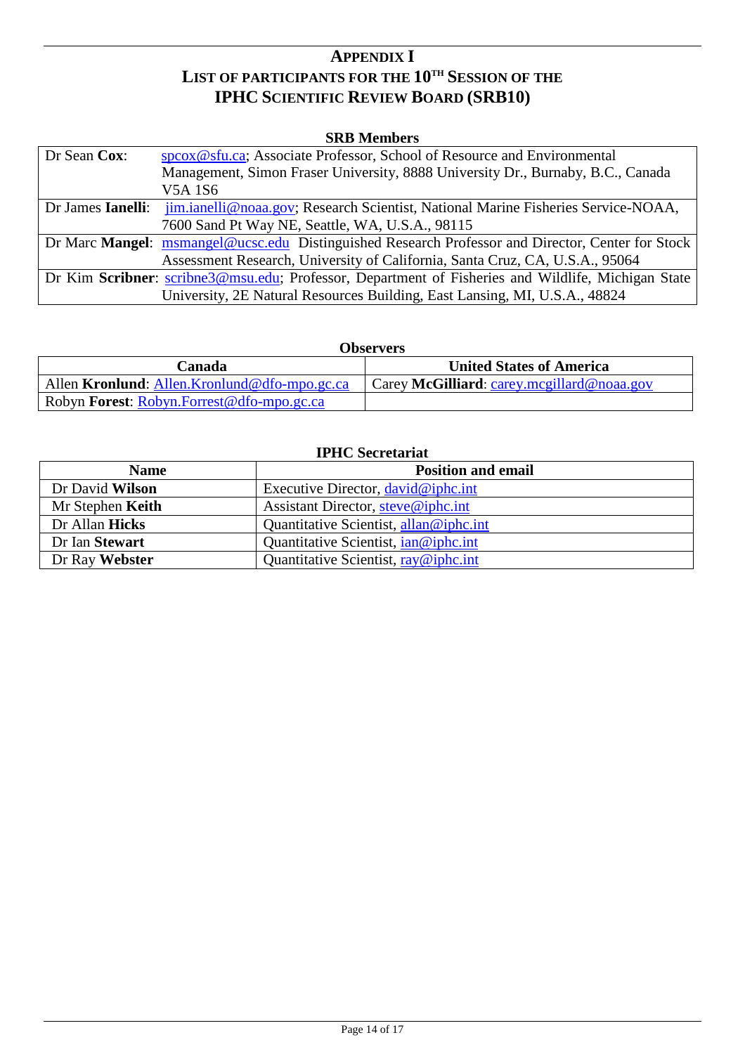## **APPENDIX I LIST OF PARTICIPANTS FOR THE 10TH SESSION OF THE IPHC SCIENTIFIC REVIEW BOARD (SRB10)**

#### **SRB Members**

<span id="page-13-0"></span>

| Dr Sean Cox:      | speox@sfu.ca; Associate Professor, School of Resource and Environmental                            |
|-------------------|----------------------------------------------------------------------------------------------------|
|                   | Management, Simon Fraser University, 8888 University Dr., Burnaby, B.C., Canada                    |
|                   | V5A 1S6                                                                                            |
| Dr James Ianelli: | jim.ianelli@noaa.gov; Research Scientist, National Marine Fisheries Service-NOAA,                  |
|                   | 7600 Sand Pt Way NE, Seattle, WA, U.S.A., 98115                                                    |
|                   | Dr Marc Mangel: msmangel@ucsc.edu Distinguished Research Professor and Director, Center for Stock  |
|                   | Assessment Research, University of California, Santa Cruz, CA, U.S.A., 95064                       |
|                   | Dr Kim Scribner: scribne3@msu.edu; Professor, Department of Fisheries and Wildlife, Michigan State |
|                   | University, 2E Natural Resources Building, East Lansing, MI, U.S.A., 48824                         |

#### **Observers**

| Canada                                                      | <b>United States of America</b>            |
|-------------------------------------------------------------|--------------------------------------------|
| Allen <b>Kronlund</b> : Allen <i>Kronlund@dfo-mpo.gc.ca</i> | Carey McGilliard: carey.mcgillard@noaa.gov |
| Robyn Forest: Robyn.Forrest@dfo-mpo.gc.ca                   |                                            |

## **IPHC Secretariat**

| <b>Name</b>      | <b>Position and email</b>              |
|------------------|----------------------------------------|
| Dr David Wilson  | Executive Director, david@iphc.int     |
| Mr Stephen Keith | Assistant Director, steve@iphc.int     |
| Dr Allan Hicks   | Quantitative Scientist, allan@iphc.int |
| Dr Ian Stewart   | Quantitative Scientist, $ian@iphc.int$ |
| Dr Ray Webster   | Quantitative Scientist, $ray@iphc.int$ |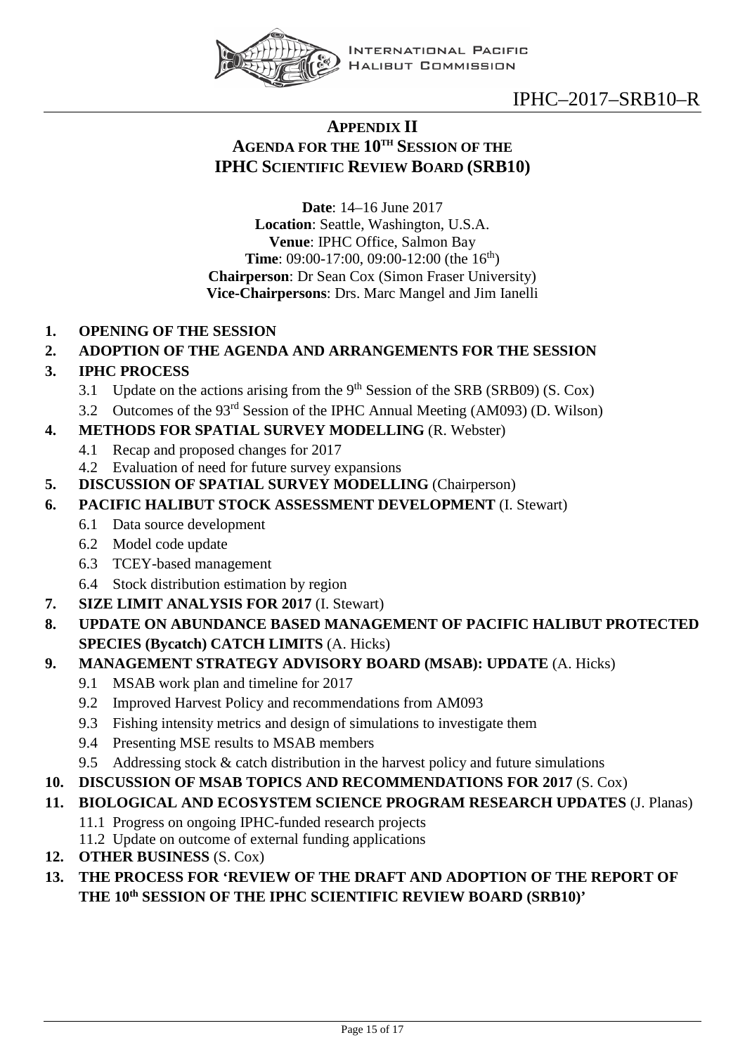

## <span id="page-14-0"></span>**APPENDIX II AGENDA FOR THE 10TH SESSION OF THE IPHC SCIENTIFIC REVIEW BOARD (SRB10)**

**Date**: 14–16 June 2017 **Location**: Seattle, Washington, U.S.A. **Venue**: IPHC Office, Salmon Bay **Time**: 09:00-17:00, 09:00-12:00 (the 16<sup>th</sup>) **Chairperson**: Dr Sean Cox (Simon Fraser University) **Vice-Chairpersons**: Drs. Marc Mangel and Jim Ianelli

**1. OPENING OF THE SESSION**

## **2. ADOPTION OF THE AGENDA AND ARRANGEMENTS FOR THE SESSION**

## **3. IPHC PROCESS**

- 3.1 Update on the actions arising from the  $9<sup>th</sup>$  Session of the SRB (SRB09) (S. Cox)
- 3.2 Outcomes of the 93rd Session of the IPHC Annual Meeting (AM093) (D. Wilson)

## **4. METHODS FOR SPATIAL SURVEY MODELLING** (R. Webster)

- 4.1 Recap and proposed changes for 2017
- 4.2 Evaluation of need for future survey expansions
- **5. DISCUSSION OF SPATIAL SURVEY MODELLING** (Chairperson)
- **6. PACIFIC HALIBUT STOCK ASSESSMENT DEVELOPMENT** (I. Stewart)
	- 6.1 Data source development
	- 6.2 Model code update
	- 6.3 TCEY-based management
	- 6.4 Stock distribution estimation by region
- **7. SIZE LIMIT ANALYSIS FOR 2017** (I. Stewart)
- **8. UPDATE ON ABUNDANCE BASED MANAGEMENT OF PACIFIC HALIBUT PROTECTED SPECIES (Bycatch) CATCH LIMITS** (A. Hicks)

## **9. MANAGEMENT STRATEGY ADVISORY BOARD (MSAB): UPDATE** (A. Hicks)

- 9.1 MSAB work plan and timeline for 2017
- 9.2 Improved Harvest Policy and recommendations from AM093
- 9.3 Fishing intensity metrics and design of simulations to investigate them
- 9.4 Presenting MSE results to MSAB members
- 9.5 Addressing stock & catch distribution in the harvest policy and future simulations
- **10. DISCUSSION OF MSAB TOPICS AND RECOMMENDATIONS FOR 2017** (S. Cox)

## **11. BIOLOGICAL AND ECOSYSTEM SCIENCE PROGRAM RESEARCH UPDATES** (J. Planas)

- 11.1 Progress on ongoing IPHC-funded research projects
- 11.2 Update on outcome of external funding applications
- **12. OTHER BUSINESS** (S. Cox)

## <span id="page-14-1"></span>**13. THE PROCESS FOR 'REVIEW OF THE DRAFT AND ADOPTION OF THE REPORT OF THE 10th SESSION OF THE IPHC SCIENTIFIC REVIEW BOARD (SRB10)'**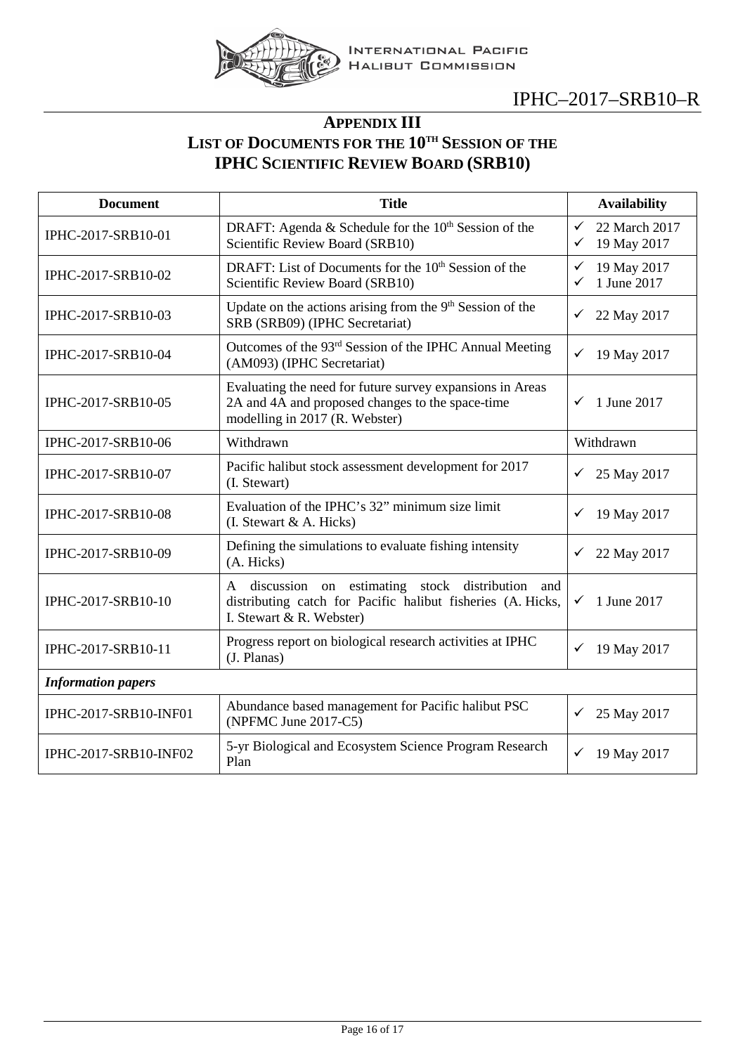

## **APPENDIX III LIST OF DOCUMENTS FOR THE 10TH SESSION OF THE IPHC SCIENTIFIC REVIEW BOARD (SRB10)**

<span id="page-15-0"></span>

| <b>Document</b>           | <b>Title</b>                                                                                                                                    | <b>Availability</b>                                          |
|---------------------------|-------------------------------------------------------------------------------------------------------------------------------------------------|--------------------------------------------------------------|
| IPHC-2017-SRB10-01        | DRAFT: Agenda & Schedule for the 10 <sup>th</sup> Session of the<br>Scientific Review Board (SRB10)                                             | 22 March 2017<br>$\checkmark$<br>$\checkmark$<br>19 May 2017 |
| IPHC-2017-SRB10-02        | DRAFT: List of Documents for the 10 <sup>th</sup> Session of the<br>Scientific Review Board (SRB10)                                             | 19 May 2017<br>✓<br>1 June 2017<br>$\checkmark$              |
| IPHC-2017-SRB10-03        | Update on the actions arising from the 9 <sup>th</sup> Session of the<br>SRB (SRB09) (IPHC Secretariat)                                         | ✓<br>22 May 2017                                             |
| IPHC-2017-SRB10-04        | Outcomes of the 93 <sup>rd</sup> Session of the IPHC Annual Meeting<br>(AM093) (IPHC Secretariat)                                               | 19 May 2017<br>✓                                             |
| IPHC-2017-SRB10-05        | Evaluating the need for future survey expansions in Areas<br>2A and 4A and proposed changes to the space-time<br>modelling in 2017 (R. Webster) | 1 June 2017<br>✓                                             |
| IPHC-2017-SRB10-06        | Withdrawn                                                                                                                                       | Withdrawn                                                    |
| IPHC-2017-SRB10-07        | Pacific halibut stock assessment development for 2017<br>(I. Stewart)                                                                           | 25 May 2017<br>✓                                             |
| IPHC-2017-SRB10-08        | Evaluation of the IPHC's 32" minimum size limit<br>(I. Stewart & A. Hicks)                                                                      | 19 May 2017<br>✓                                             |
| IPHC-2017-SRB10-09        | Defining the simulations to evaluate fishing intensity<br>(A. Hicks)                                                                            | 22 May 2017<br>✓                                             |
| IPHC-2017-SRB10-10        | A discussion on estimating stock distribution<br>and<br>distributing catch for Pacific halibut fisheries (A. Hicks,<br>I. Stewart & R. Webster) | 1 June 2017<br>✓                                             |
| IPHC-2017-SRB10-11        | Progress report on biological research activities at IPHC<br>(J. Planas)                                                                        | $\checkmark$<br>19 May 2017                                  |
| <b>Information papers</b> |                                                                                                                                                 |                                                              |
| IPHC-2017-SRB10-INF01     | Abundance based management for Pacific halibut PSC<br>(NPFMC June 2017-C5)                                                                      | 25 May 2017<br>✓                                             |
| IPHC-2017-SRB10-INF02     | 5-yr Biological and Ecosystem Science Program Research<br>Plan                                                                                  | 19 May 2017<br>✓                                             |